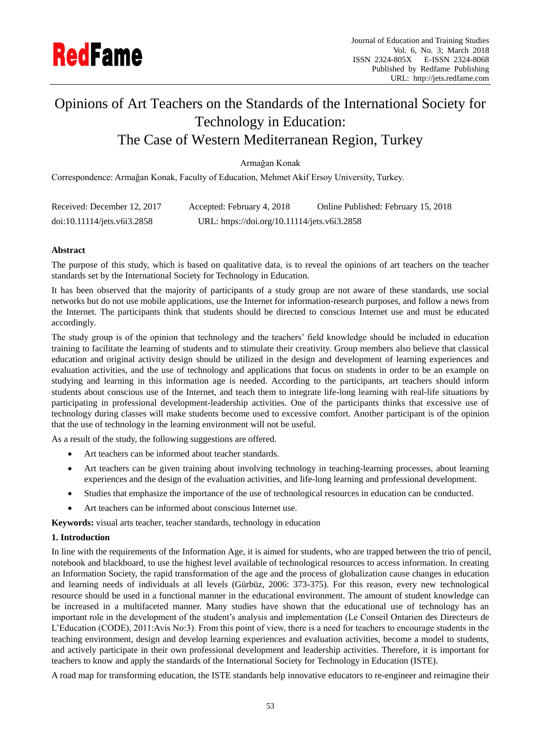

# Opinions of Art Teachers on the Standards of the International Society for Technology in Education: The Case of Western Mediterranean Region, Turkey

## Armağan Konak

Correspondence: Armağan Konak, Faculty of Education, Mehmet Akif Ersoy University, Turkey.

| Received: December 12, 2017 | Accepted: February 4, 2018                   | Online Published: February 15, 2018 |
|-----------------------------|----------------------------------------------|-------------------------------------|
| doi:10.11114/jets.v6i3.2858 | URL: https://doi.org/10.11114/jets.v6i3.2858 |                                     |

## **Abstract**

The purpose of this study, which is based on qualitative data, is to reveal the opinions of art teachers on the teacher standards set by the International Society for Technology in Education.

It has been observed that the majority of participants of a study group are not aware of these standards, use social networks but do not use mobile applications, use the Internet for information-research purposes, and follow a news from the Internet. The participants think that students should be directed to conscious Internet use and must be educated accordingly.

The study group is of the opinion that technology and the teachers' field knowledge should be included in education training to facilitate the learning of students and to stimulate their creativity. Group members also believe that classical education and original activity design should be utilized in the design and development of learning experiences and evaluation activities, and the use of technology and applications that focus on students in order to be an example on studying and learning in this information age is needed. According to the participants, art teachers should inform students about conscious use of the Internet, and teach them to integrate life-long learning with real-life situations by participating in professional development-leadership activities. One of the participants thinks that excessive use of technology during classes will make students become used to excessive comfort. Another participant is of the opinion that the use of technology in the learning environment will not be useful.

As a result of the study, the following suggestions are offered.

- Art teachers can be informed about teacher standards.
- Art teachers can be given training about involving technology in teaching-learning processes, about learning experiences and the design of the evaluation activities, and life-long learning and professional development.
- Studies that emphasize the importance of the use of technological resources in education can be conducted.
- Art teachers can be informed about conscious Internet use.

**Keywords:** visual arts teacher, teacher standards, technology in education

## **1. Introduction**

In line with the requirements of the Information Age, it is aimed for students, who are trapped between the trio of pencil, notebook and blackboard, to use the highest level available of technological resources to access information. In creating an Information Society, the rapid transformation of the age and the process of globalization cause changes in education and learning needs of individuals at all levels (Gürbüz, 2006: 373-375). For this reason, every new technological resource should be used in a functional manner in the educational environment. The amount of student knowledge can be increased in a multifaceted manner. Many studies have shown that the educational use of technology has an important role in the development of the student's analysis and implementation (Le Conseil Ontarien des Directeurs de L'Education (CODE), 2011:Avis No:3). From this point of view, there is a need for teachers to encourage students in the teaching environment, design and develop learning experiences and evaluation activities, become a model to students, and actively participate in their own professional development and leadership activities. Therefore, it is important for teachers to know and apply the standards of the International Society for Technology in Education (ISTE).

A road map for transforming education, the ISTE standards help innovative educators to re-engineer and reimagine their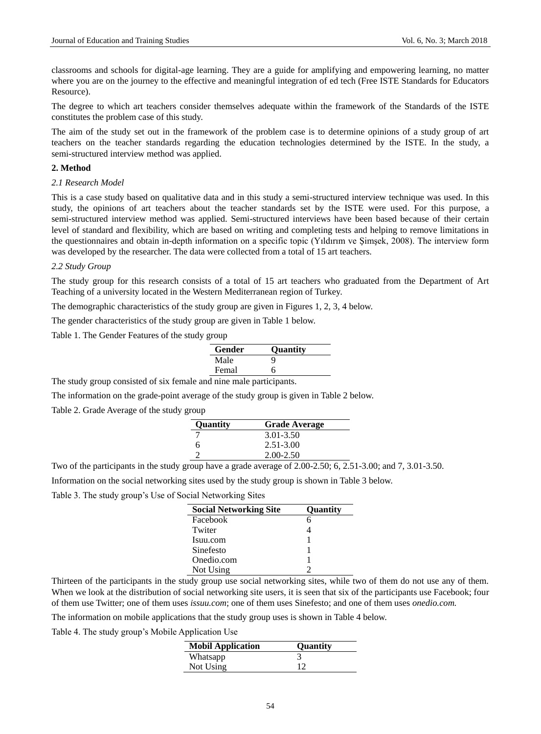classrooms and schools for digital-age learning. They are a guide for amplifying and empowering learning, no matter where you are on the journey to the effective and meaningful integration of ed tech (Free ISTE Standards for Educators Resource).

The degree to which art teachers consider themselves adequate within the framework of the Standards of the ISTE constitutes the problem case of this study.

The aim of the study set out in the framework of the problem case is to determine opinions of a study group of art teachers on the teacher standards regarding the education technologies determined by the ISTE. In the study, a semi-structured interview method was applied.

## **2. Method**

#### *2.1 Research Model*

This is a case study based on qualitative data and in this study a semi-structured interview technique was used. In this study, the opinions of art teachers about the teacher standards set by the ISTE were used. For this purpose, a semi-structured interview method was applied. Semi-structured interviews have been based because of their certain level of standard and flexibility, which are based on writing and completing tests and helping to remove limitations in the questionnaires and obtain in-depth information on a specific topic (Yıldırım ve Şimşek, 2008). The interview form was developed by the researcher. The data were collected from a total of 15 art teachers.

#### *2.2 Study Group*

The study group for this research consists of a total of 15 art teachers who graduated from the Department of Art Teaching of a university located in the Western Mediterranean region of Turkey.

The demographic characteristics of the study group are given in Figures 1, 2, 3, 4 below.

The gender characteristics of the study group are given in Table 1 below.

Table 1. The Gender Features of the study group

The study group consisted of six female and nine male participants.

The information on the grade-point average of the study group is given in Table 2 below.

Table 2. Grade Average of the study group

| Quantity | <b>Grade Average</b> |
|----------|----------------------|
|          | 3.01-3.50            |
| 6        | $2.51 - 3.00$        |
|          | $2.00 - 2.50$        |

Two of the participants in the study group have a grade average of 2.00-2.50; 6, 2.51-3.00; and 7, 3.01-3.50.

Information on the social networking sites used by the study group is shown in Table 3 below.

Table 3. The study group's Use of Social Networking Sites

| <b>Social Networking Site</b> | <b>Ouantity</b> |
|-------------------------------|-----------------|
| Facebook                      |                 |
| Twiter                        |                 |
| Isuu.com                      |                 |
| Sinefesto                     |                 |
| Onedio.com                    |                 |
| Not Using                     |                 |

Thirteen of the participants in the study group use social networking sites, while two of them do not use any of them. When we look at the distribution of social networking site users, it is seen that six of the participants use Facebook; four of them use Twitter; one of them uses *issuu.com*; one of them uses Sinefesto; and one of them uses *onedio.com.*

The information on mobile applications that the study group uses is shown in Table 4 below.

Table 4. The study group's Mobile Application Use

| <b>Mobil Application</b> | <b>Ouantity</b> |
|--------------------------|-----------------|
| Whatsapp                 |                 |
| Not Using                |                 |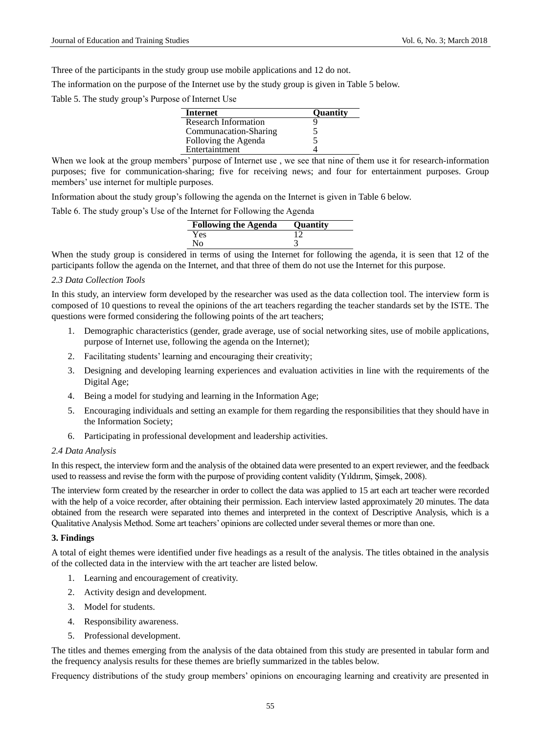Three of the participants in the study group use mobile applications and 12 do not.

The information on the purpose of the Internet use by the study group is given in Table 5 below.

Table 5. The study group's Purpose of Internet Use

| <b>Internet</b>       | <b>Ouantity</b> |
|-----------------------|-----------------|
| Research Information  |                 |
| Communacation-Sharing |                 |
| Folloving the Agenda  |                 |
| Entertaintment        |                 |

When we look at the group members' purpose of Internet use, we see that nine of them use it for research-information purposes; five for communication-sharing; five for receiving news; and four for entertainment purposes. Group members' use internet for multiple purposes.

Information about the study group's following the agenda on the Internet is given in Table 6 below.

Table 6. The study group's Use of the Internet for Following the Agenda

| <b>Following the Agenda</b> | <b>Ouantity</b> |
|-----------------------------|-----------------|
| Yes                         |                 |
| Nο                          |                 |

When the study group is considered in terms of using the Internet for following the agenda, it is seen that 12 of the participants follow the agenda on the Internet, and that three of them do not use the Internet for this purpose.

#### *2.3 Data Collection Tools*

In this study, an interview form developed by the researcher was used as the data collection tool. The interview form is composed of 10 questions to reveal the opinions of the art teachers regarding the teacher standards set by the ISTE. The questions were formed considering the following points of the art teachers;

- 1. Demographic characteristics (gender, grade average, use of social networking sites, use of mobile applications, purpose of Internet use, following the agenda on the Internet);
- 2. Facilitating students' learning and encouraging their creativity;
- 3. Designing and developing learning experiences and evaluation activities in line with the requirements of the Digital Age;
- 4. Being a model for studying and learning in the Information Age;
- 5. Encouraging individuals and setting an example for them regarding the responsibilities that they should have in the Information Society;
- 6. Participating in professional development and leadership activities.

## *2.4 Data Analysis*

In this respect, the interview form and the analysis of the obtained data were presented to an expert reviewer, and the feedback used to reassess and revise the form with the purpose of providing content validity (Yıldırım, Şimşek, 2008).

The interview form created by the researcher in order to collect the data was applied to 15 art each art teacher were recorded with the help of a voice recorder, after obtaining their permission. Each interview lasted approximately 20 minutes. The data obtained from the research were separated into themes and interpreted in the context of Descriptive Analysis, which is a Qualitative Analysis Method. Some art teachers' opinions are collected under several themes or more than one.

#### **3. Findings**

A total of eight themes were identified under five headings as a result of the analysis. The titles obtained in the analysis of the collected data in the interview with the art teacher are listed below.

- 1. Learning and encouragement of creativity.
- 2. Activity design and development.
- 3. Model for students.
- 4. Responsibility awareness.
- 5. Professional development.

The titles and themes emerging from the analysis of the data obtained from this study are presented in tabular form and the frequency analysis results for these themes are briefly summarized in the tables below.

Frequency distributions of the study group members' opinions on encouraging learning and creativity are presented in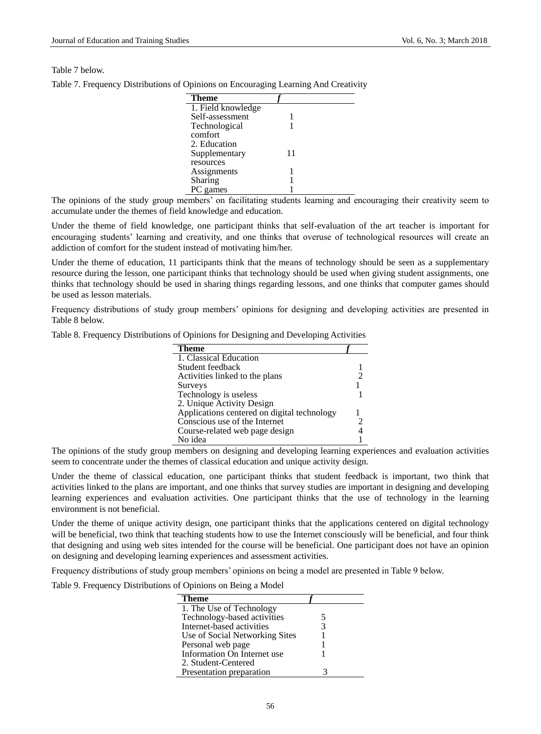#### Table 7 below.

| <b>Theme</b>       |    |  |
|--------------------|----|--|
| 1. Field knowledge |    |  |
| Self-assessment    |    |  |
| Technological      |    |  |
| comfort            |    |  |
| 2. Education       |    |  |
| Supplementary      | 11 |  |
| resources          |    |  |
| Assignments        |    |  |
| Sharing            |    |  |
| PC games           |    |  |

Table 7. Frequency Distributions of Opinions on Encouraging Learning And Creativity

The opinions of the study group members' on facilitating students learning and encouraging their creativity seem to accumulate under the themes of field knowledge and education.

Under the theme of field knowledge, one participant thinks that self-evaluation of the art teacher is important for encouraging students' learning and creativity, and one thinks that overuse of technological resources will create an addiction of comfort for the student instead of motivating him/her.

Under the theme of education, 11 participants think that the means of technology should be seen as a supplementary resource during the lesson, one participant thinks that technology should be used when giving student assignments, one thinks that technology should be used in sharing things regarding lessons, and one thinks that computer games should be used as lesson materials.

Frequency distributions of study group members' opinions for designing and developing activities are presented in Table 8 below.

|  |  | Table 8. Frequency Distributions of Opinions for Designing and Developing Activities |  |
|--|--|--------------------------------------------------------------------------------------|--|
|  |  |                                                                                      |  |

| <b>Theme</b>                                |  |
|---------------------------------------------|--|
| 1. Classical Education                      |  |
| Student feedback                            |  |
| Activities linked to the plans              |  |
| Surveys                                     |  |
| Technology is useless                       |  |
| 2. Unique Activity Design                   |  |
| Applications centered on digital technology |  |
| Conscious use of the Internet               |  |
| Course-related web page design              |  |
| No idea                                     |  |

The opinions of the study group members on designing and developing learning experiences and evaluation activities seem to concentrate under the themes of classical education and unique activity design.

Under the theme of classical education, one participant thinks that student feedback is important, two think that activities linked to the plans are important, and one thinks that survey studies are important in designing and developing learning experiences and evaluation activities. One participant thinks that the use of technology in the learning environment is not beneficial.

Under the theme of unique activity design, one participant thinks that the applications centered on digital technology will be beneficial, two think that teaching students how to use the Internet consciously will be beneficial, and four think that designing and using web sites intended for the course will be beneficial. One participant does not have an opinion on designing and developing learning experiences and assessment activities.

Frequency distributions of study group members' opinions on being a model are presented in Table 9 below.

Table 9. Frequency Distributions of Opinions on Being a Model

| <b>Theme</b>                   |   |  |
|--------------------------------|---|--|
| 1. The Use of Technology       |   |  |
| Technology-based activities    | 5 |  |
| Internet-based activities      | 3 |  |
| Use of Social Networking Sites |   |  |
| Personal web page              |   |  |
| Information On Internet use    |   |  |
| 2. Student-Centered            |   |  |
| Presentation preparation       |   |  |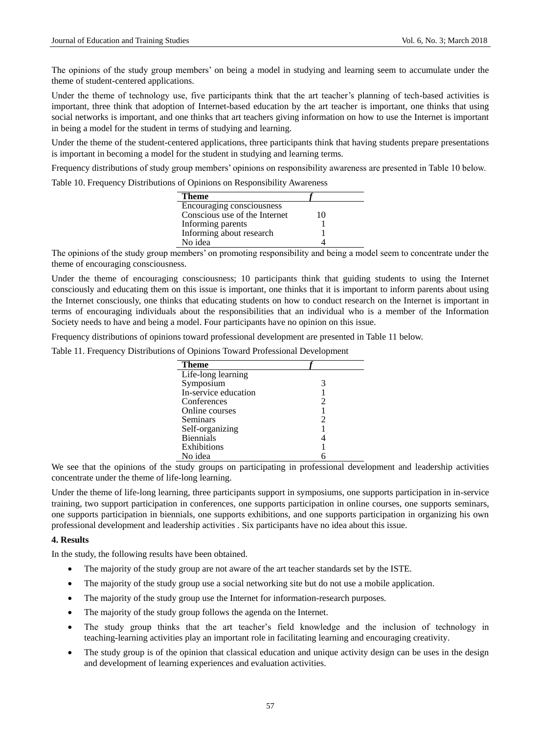The opinions of the study group members' on being a model in studying and learning seem to accumulate under the theme of student-centered applications.

Under the theme of technology use, five participants think that the art teacher's planning of tech-based activities is important, three think that adoption of Internet-based education by the art teacher is important, one thinks that using social networks is important, and one thinks that art teachers giving information on how to use the Internet is important in being a model for the student in terms of studying and learning.

Under the theme of the student-centered applications, three participants think that having students prepare presentations is important in becoming a model for the student in studying and learning terms.

Frequency distributions of study group members' opinions on responsibility awareness are presented in Table 10 below.

Table 10. Frequency Distributions of Opinions on Responsibility Awareness

| <b>Theme</b>                  |    |
|-------------------------------|----|
| Encouraging consciousness     |    |
| Conscious use of the Internet | 10 |
| Informing parents             |    |
| Informing about research      |    |
| No idea                       |    |
|                               |    |

The opinions of the study group members' on promoting responsibility and being a model seem to concentrate under the theme of encouraging consciousness.

Under the theme of encouraging consciousness; 10 participants think that guiding students to using the Internet consciously and educating them on this issue is important, one thinks that it is important to inform parents about using the Internet consciously, one thinks that educating students on how to conduct research on the Internet is important in terms of encouraging individuals about the responsibilities that an individual who is a member of the Information Society needs to have and being a model. Four participants have no opinion on this issue.

Frequency distributions of opinions toward professional development are presented in Table 11 below.

Table 11. Frequency Distributions of Opinions Toward Professional Development

| <b>Theme</b>         |   |
|----------------------|---|
| Life-long learning   |   |
| Symposium            | 3 |
| In-service education |   |
| Conferences          | 2 |
| Online courses       |   |
| Seminars             | 2 |
| Self-organizing      |   |
| <b>Biennials</b>     |   |
| Exhibitions          |   |
| No idea              |   |

We see that the opinions of the study groups on participating in professional development and leadership activities concentrate under the theme of life-long learning.

Under the theme of life-long learning, three participants support in symposiums, one supports participation in in-service training, two support participation in conferences, one supports participation in online courses, one supports seminars, one supports participation in biennials, one supports exhibitions, and one supports participation in organizing his own professional development and leadership activities . Six participants have no idea about this issue.

#### **4. Results**

In the study, the following results have been obtained.

- The majority of the study group are not aware of the art teacher standards set by the ISTE.
- The majority of the study group use a social networking site but do not use a mobile application.
- The majority of the study group use the Internet for information-research purposes.
- The majority of the study group follows the agenda on the Internet.
- The study group thinks that the art teacher's field knowledge and the inclusion of technology in teaching-learning activities play an important role in facilitating learning and encouraging creativity.
- The study group is of the opinion that classical education and unique activity design can be uses in the design and development of learning experiences and evaluation activities.